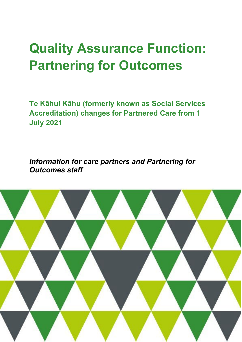# **Quality Assurance Function: Partnering for Outcomes**

**Te Kāhui Kāhu (formerly known as Social Services Accreditation) changes for Partnered Care from 1 July 2021**

*Information for care partners and Partnering for Outcomes staff*

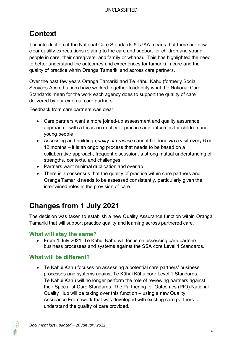# **Context**

The introduction of the National Care Standards & s7AA means that there are now clear quality expectations relating to the care and support for children and young people in care, their caregivers, and family or whānau. This has highlighted the need to better understand the outcomes and experiences for tamariki in care and the quality of practice within Oranga Tamariki and across care partners.

Over the past few years Oranga Tamariki and Te Kāhui Kāhu (formerly Social Services Accreditation) have worked together to identify what the National Care Standards mean for the work each agency does to support the quality of care delivered by our external care partners.

Feedback from care partners was clear:

- Care partners want a more joined-up assessment and quality assurance approach – with a focus on quality of practice and outcomes for children and young people
- Assessing and building *quality of practice* cannot be done via a visit every 6 or 12 months – it is an ongoing process that needs to be based on a collaborative approach, frequent discussion, a strong mutual understanding of strengths, contexts, and challenges
- Partners want minimal duplication and overlap
- There is a consensus that the quality of practice within care partners and Oranga Tamariki needs to be assessed consistently, particularly given the intertwined roles in the provision of care.

## **Changes from 1 July 2021**

The decision was taken to establish a new Quality Assurance function within Oranga Tamariki that will support practice quality and learning across partnered care.

#### **What will stay the same?**

• From 1 July 2021, Te Kāhui Kāhu will focus on assessing care partners' business processes and systems against the SSA core Level 1 Standards.

#### **What will be different?**

• Te Kāhui Kāhu focuses on assessing a potential care partners' business processes and systems against Te Kāhui Kāhu core Level 1 Standards. Te Kāhui Kāhu will no longer perform the role of reviewing partners against their Specialist Care Standards. The Partnering for Outcomes (PfO) National Quality Hub will be taking over this function – using a new Quality Assurance Framework that was developed with existing care partners to understand the quality of care provided.

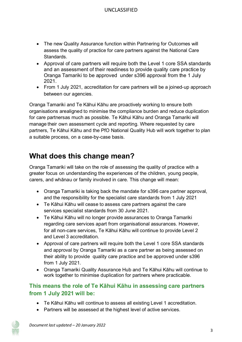- The new Quality Assurance function within Partnering for Outcomes will assess the quality of practice for care partners against the National Care Standards.
- Approval of care partners will require both the Level 1 core SSA standards and an assessment of their readiness to provide quality care practice by Oranga Tamariki to be approved under s396 approval from the 1 July 2021.
- From 1 July 2021, accreditation for care partners will be a joined-up approach between our agencies.

Oranga Tamariki and Te Kāhui Kāhu are proactively working to ensure both organisations arealigned to minimise the compliance burden and reduce duplication for care partnersas much as possible. Te Kāhui Kāhu and Oranga Tamariki will manage their own assessment cycle and reporting. Where requested by care partners, Te Kāhui Kāhu and the PfO National Quality Hub will work together to plan a suitable process, on a case-by-case basis.

## **What does this change mean?**

Oranga Tamariki will take on the role of assessing the quality of practice with a greater focus on understanding the experiences of the children, young people, carers, and whānau or family involved in care. This change will mean:

- Oranga Tamariki is taking back the mandate for s396 care partner approval, and the responsibility for the specialist care standards from 1 July 2021
- Te Kāhui Kāhu will cease to assess care partners against the care services specialist standards from 30 June 2021.
- Te Kāhui Kāhu will no longer provide assurances to Oranga Tamariki regarding care services apart from organisational assurances. However, for all non-care services, Te Kāhui Kāhu will continue to provide Level 2 and Level 3 accreditation.
- Approval of care partners will require both the Level 1 core SSA standards and approval by Oranga Tamariki as a care partner as being assessed on their ability to provide quality care practice and be approved under s396 from 1 July 2021.
- Oranga Tamariki Quality Assurance Hub and Te Kāhui Kāhu will continue to work together to minimise duplication for partners where practicable.

### **This means the role of Te Kāhui Kāhu in assessing care partners from 1 July 2021 will be:**

- Te Kāhui Kāhu will continue to assess all existing Level 1 accreditation.
- Partners will be assessed at the highest level of active services.

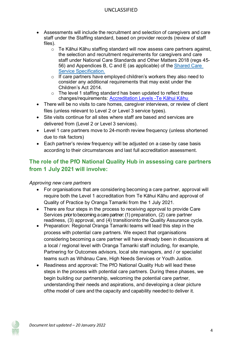#### UNCLASSIFIED

- Assessments will include the recruitment and selection of caregivers and care staff under the Staffing standard, based on provider records (review of staff files).
	- o Te Kāhui Kāhu staffing standard will now assess care partners against, the selection and recruitment requirements for caregivers and care staff under National Care Standards and Other Matters 2018 (regs 45- 56) and Appendices B, C and E (as applicable) of the [Shared Care](https://www.orangatamariki.govt.nz/assets/Uploads/Working-with-children/Information-for-providers/Service-Specifications/Shared-Care-Service-Specification-from-1-July-2021.pdf)  [Service Specification](https://www.orangatamariki.govt.nz/assets/Uploads/Working-with-children/Information-for-providers/Service-Specifications/Shared-Care-Service-Specification-from-1-July-2021.pdf).
	- o If care partners have employed children's workers they also need to consider any additional requirements that may exist under the Children's Act 2014.
	- o The level 1 staffing standard has been updated to reflect these changes/requirements: [Accreditation Levels -](https://tek%C4%81huik%C4%81hu.govt.nz/accreditation/levels.html)Te Kāhui Kāhu
- There will be no visits to care homes, caregiver interviews, or review of client files (unless relevant to Level 2 or Level 3 service types).
- Site visits continue for all sites where staff are based and services are delivered from (Level 2 or Level 3 services).
- Level 1 care partners move to 24-month review frequency (unless shortened due to risk factors)
- Each partner's review frequency will be adjusted on a case-by case basis according to their circumstances and last full accreditation assessment.

## **The role of the PfO National Quality Hub in assessing care partners from 1 July 2021 will involve:**

#### *Approving new care partners*

- For organisations that are considering becoming a care partner, approval will require both the Level 1 accreditation from Te Kāhui Kāhu and approval of Quality of Practice by Oranga Tamariki from the 1 July 2021.
- There are four steps in the process to receiving approval to provide Care Services prior to becoming a care partner: (1) preparation, (2) care partner readiness, (3) approval, and (4) transitioninto the Quality Assurance cycle.
- Preparation: Regional Oranga Tamariki teams will lead this step in the process with potential care partners. We expect that organisations considering becoming a care partner will have already been in discussions at a local / regional level with Oranga Tamariki staff including, for example, Partnering for Outcomes advisors, local site managers, and / or specialist teams such as Whānau Care, High Needs Services or Youth Justice.
- Readiness and approval**:** The PfO National Quality Hub will lead these steps in the process with potential care partners. During these phases, we begin building our partnership, welcoming the potential care partner, understanding their needs and aspirations, and developing a clear picture ofthe model of care and the capacity and capability needed to deliver it.